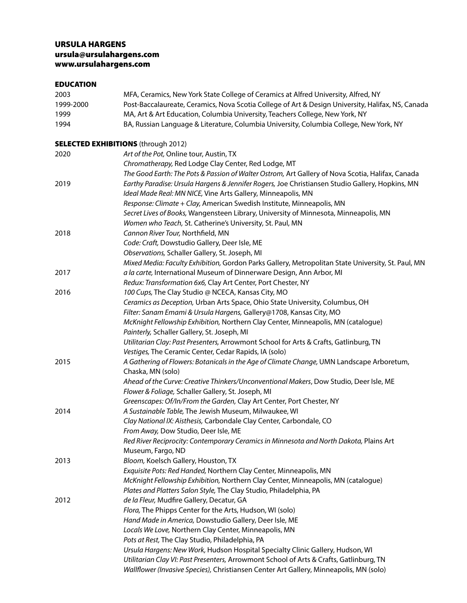# URSULA HARGENS [ursula@ursulahargens.com](mailto:ursula@andiron.net) [www.ursulahargens.com](http://www.ursulahargens.com)

## EDUCATION

| 2003      | MFA, Ceramics, New York State College of Ceramics at Alfred University, Alfred, NY                                                   |
|-----------|--------------------------------------------------------------------------------------------------------------------------------------|
| 1999-2000 | Post-Baccalaureate, Ceramics, Nova Scotia College of Art & Design University, Halifax, NS, Canada                                    |
| 1999      | MA, Art & Art Education, Columbia University, Teachers College, New York, NY                                                         |
| 1994      | BA, Russian Language & Literature, Columbia University, Columbia College, New York, NY                                               |
|           | <b>SELECTED EXHIBITIONS</b> (through 2012)                                                                                           |
| 2020      | Art of the Pot, Online tour, Austin, TX                                                                                              |
|           | Chromatherapy, Red Lodge Clay Center, Red Lodge, MT                                                                                  |
|           | The Good Earth: The Pots & Passion of Walter Ostrom, Art Gallery of Nova Scotia, Halifax, Canada                                     |
| 2019      | Earthy Paradise: Ursula Hargens & Jennifer Rogers, Joe Christiansen Studio Gallery, Hopkins, MN                                      |
|           | Ideal Made Real: MN NICE, Vine Arts Gallery, Minneapolis, MN                                                                         |
|           | Response: Climate + Clay, American Swedish Institute, Minneapolis, MN                                                                |
|           | Secret Lives of Books, Wangensteen Library, University of Minnesota, Minneapolis, MN                                                 |
|           | Women who Teach, St. Catherine's University, St. Paul, MN                                                                            |
| 2018      | Cannon River Tour, Northfield, MN                                                                                                    |
|           | Code: Craft, Dowstudio Gallery, Deer Isle, ME                                                                                        |
|           | Observations, Schaller Gallery, St. Joseph, MI                                                                                       |
|           | Mixed Media: Faculty Exhibition, Gordon Parks Gallery, Metropolitan State University, St. Paul, MN                                   |
| 2017      | a la carte, International Museum of Dinnerware Design, Ann Arbor, MI                                                                 |
|           | Redux: Transformation 6x6, Clay Art Center, Port Chester, NY                                                                         |
| 2016      | 100 Cups, The Clay Studio @ NCECA, Kansas City, MO                                                                                   |
|           | Ceramics as Deception, Urban Arts Space, Ohio State University, Columbus, OH                                                         |
|           | Filter: Sanam Emami & Ursula Hargens, Gallery@1708, Kansas City, MO                                                                  |
|           | McKnight Fellowship Exhibition, Northern Clay Center, Minneapolis, MN (catalogue)                                                    |
|           | Painterly, Schaller Gallery, St. Joseph, MI<br>Utilitarian Clay: Past Presenters, Arrowmont School for Arts & Crafts, Gatlinburg, TN |
|           | Vestiges, The Ceramic Center, Cedar Rapids, IA (solo)                                                                                |
| 2015      | A Gathering of Flowers: Botanicals in the Age of Climate Change, UMN Landscape Arboretum,                                            |
|           | Chaska, MN (solo)                                                                                                                    |
|           | Ahead of the Curve: Creative Thinkers/Unconventional Makers, Dow Studio, Deer Isle, ME                                               |
|           | Flower & Foliage, Schaller Gallery, St. Joseph, MI                                                                                   |
|           | Greenscapes: Of/In/From the Garden, Clay Art Center, Port Chester, NY                                                                |
| 2014      | A Sustainable Table, The Jewish Museum, Milwaukee, WI                                                                                |
|           | Clay National IX: Aisthesis, Carbondale Clay Center, Carbondale, CO                                                                  |
|           | From Away, Dow Studio, Deer Isle, ME                                                                                                 |
|           | Red River Reciprocity: Contemporary Ceramics in Minnesota and North Dakota, Plains Art                                               |
|           | Museum, Fargo, ND                                                                                                                    |
| 2013      | Bloom, Koelsch Gallery, Houston, TX                                                                                                  |
|           | Exquisite Pots: Red Handed, Northern Clay Center, Minneapolis, MN                                                                    |
|           | McKnight Fellowship Exhibition, Northern Clay Center, Minneapolis, MN (catalogue)                                                    |
|           | Plates and Platters Salon Style, The Clay Studio, Philadelphia, PA                                                                   |
| 2012      | de la Fleur, Mudfire Gallery, Decatur, GA                                                                                            |
|           | Flora, The Phipps Center for the Arts, Hudson, WI (solo)                                                                             |
|           | Hand Made in America, Dowstudio Gallery, Deer Isle, ME                                                                               |
|           | Locals We Love, Northern Clay Center, Minneapolis, MN                                                                                |
|           | Pots at Rest, The Clay Studio, Philadelphia, PA                                                                                      |
|           | Ursula Hargens: New Work, Hudson Hospital Specialty Clinic Gallery, Hudson, WI                                                       |
|           | Utilitarian Clay VI: Past Presenters, Arrowmont School of Arts & Crafts, Gatlinburg, TN                                              |
|           | Wallflower (Invasive Species), Christiansen Center Art Gallery, Minneapolis, MN (solo)                                               |